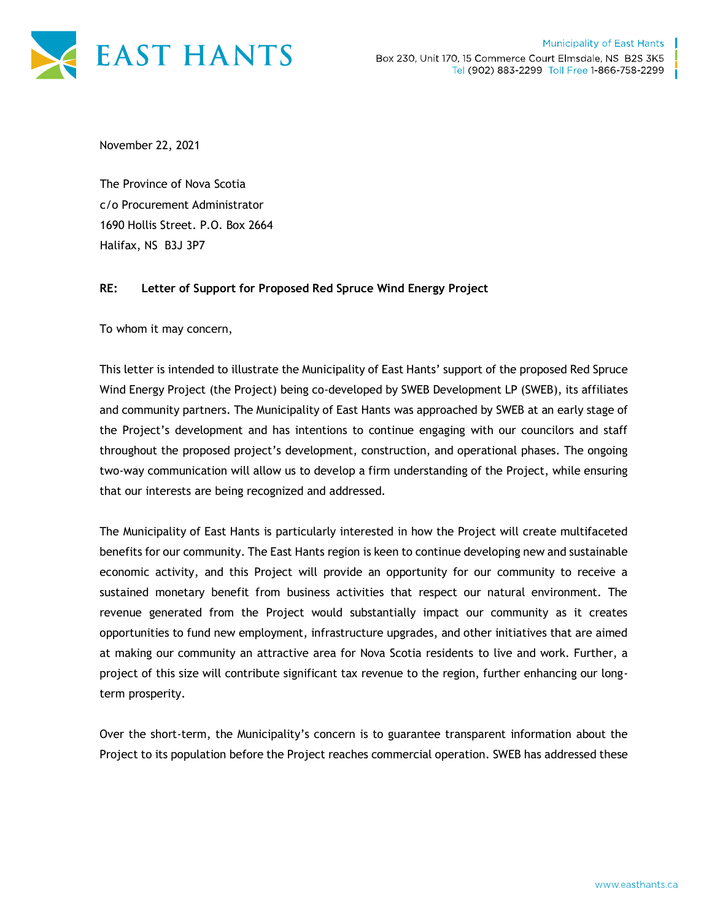

November 22, 2021

The Province of Nova Scotia c/o Procurement Administrator 1690 Hollis Street. P.O. Box 2664 Halifax, NS B3J 3P7

## **RE: Letter of Support for Proposed Red Spruce Wind Energy Project**

To whom it may concern,

This letter is intended to illustrate the Municipality of East Hants' support of the proposed Red Spruce Wind Energy Project (the Project) being co-developed by SWEB Development LP (SWEB), its affiliates and community partners. The Municipality of East Hants was approached by SWEB at an early stage of the Project's development and has intentions to continue engaging with our councilors and staff throughout the proposed project's development, construction, and operational phases. The ongoing two-way communication will allow us to develop a firm understanding of the Project, while ensuring that our interests are being recognized and addressed.

The Municipality of East Hants is particularly interested in how the Project will create multifaceted benefits for our community. The East Hants region is keen to continue developing new and sustainable economic activity, and this Project will provide an opportunity for our community to receive a sustained monetary benefit from business activities that respect our natural environment. The revenue generated from the Project would substantially impact our community as it creates opportunities to fund new employment, infrastructure upgrades, and other initiatives that are aimed at making our community an attractive area for Nova Scotia residents to live and work. Further, a project of this size will contribute significant tax revenue to the region, further enhancing our longterm prosperity.

Over the short-term, the Municipality's concern is to guarantee transparent information about the Project to its population before the Project reaches commercial operation. SWEB has addressed these